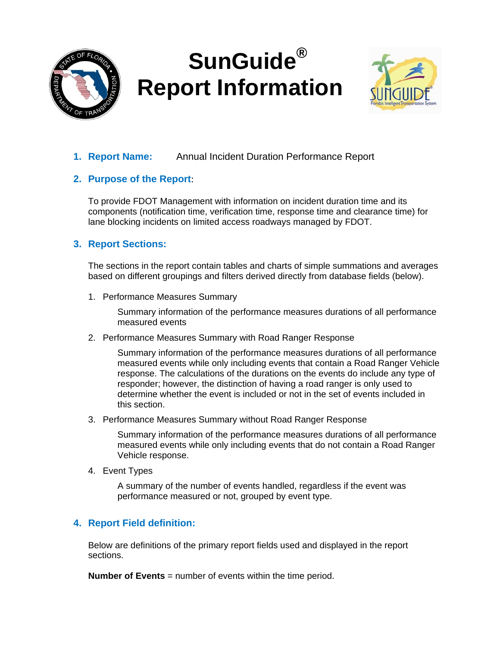

# **SunGuide® Report Information**



# **1. Report Name:** Annual Incident Duration Performance Report

# **2. Purpose of the Report**:

To provide FDOT Management with information on incident duration time and its components (notification time, verification time, response time and clearance time) for lane blocking incidents on limited access roadways managed by FDOT.

# **3. Report Sections:**

The sections in the report contain tables and charts of simple summations and averages based on different groupings and filters derived directly from database fields (below).

1. Performance Measures Summary

Summary information of the performance measures durations of all performance measured events

2. Performance Measures Summary with Road Ranger Response

Summary information of the performance measures durations of all performance measured events while only including events that contain a Road Ranger Vehicle response. The calculations of the durations on the events do include any type of responder; however, the distinction of having a road ranger is only used to determine whether the event is included or not in the set of events included in this section.

3. Performance Measures Summary without Road Ranger Response

Summary information of the performance measures durations of all performance measured events while only including events that do not contain a Road Ranger Vehicle response.

4. Event Types

A summary of the number of events handled, regardless if the event was performance measured or not, grouped by event type.

# **4. Report Field definition:**

Below are definitions of the primary report fields used and displayed in the report sections.

**Number of Events** = number of events within the time period.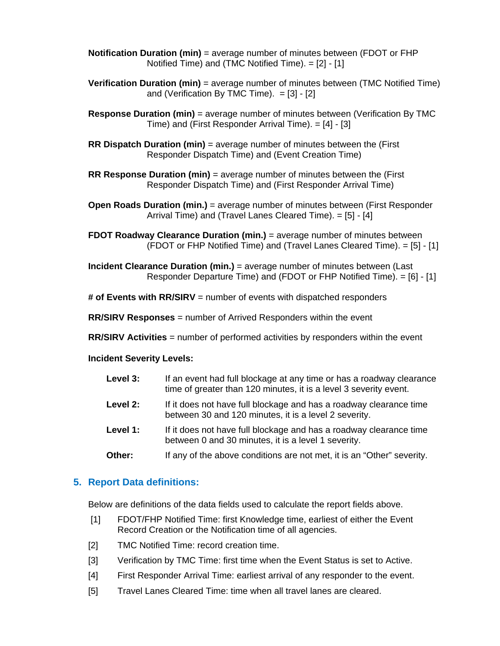- **Notification Duration (min)** = average number of minutes between (FDOT or FHP Notified Time) and (TMC Notified Time). = [2] - [1]
- **Verification Duration (min)** = average number of minutes between (TMC Notified Time) and (Verification By TMC Time).  $= [3] - [2]$
- **Response Duration (min)** = average number of minutes between (Verification By TMC Time) and (First Responder Arrival Time). = [4] - [3]
- **RR Dispatch Duration (min)** = average number of minutes between the (First Responder Dispatch Time) and (Event Creation Time)
- **RR Response Duration (min)** = average number of minutes between the (First Responder Dispatch Time) and (First Responder Arrival Time)
- **Open Roads Duration (min.)** = average number of minutes between (First Responder Arrival Time) and (Travel Lanes Cleared Time). = [5] - [4]
- **FDOT Roadway Clearance Duration (min.)** = average number of minutes between (FDOT or FHP Notified Time) and (Travel Lanes Cleared Time). = [5] - [1]
- **Incident Clearance Duration (min.)** = average number of minutes between (Last Responder Departure Time) and (FDOT or FHP Notified Time). = [6] - [1]
- **# of Events with RR/SIRV** = number of events with dispatched responders
- **RR/SIRV Responses** = number of Arrived Responders within the event
- **RR/SIRV Activities** = number of performed activities by responders within the event

#### **Incident Severity Levels:**

| Level 3: | If an event had full blockage at any time or has a roadway clearance<br>time of greater than 120 minutes, it is a level 3 severity event. |
|----------|-------------------------------------------------------------------------------------------------------------------------------------------|
| Level 2: | If it does not have full blockage and has a roadway clearance time<br>between 30 and 120 minutes, it is a level 2 severity.               |
| Level 1: | If it does not have full blockage and has a roadway clearance time<br>between 0 and 30 minutes, it is a level 1 severity.                 |
| Other:   | If any of the above conditions are not met, it is an "Other" severity.                                                                    |

#### **5. Report Data definitions:**

Below are definitions of the data fields used to calculate the report fields above.

- [1] FDOT/FHP Notified Time: first Knowledge time, earliest of either the Event Record Creation or the Notification time of all agencies.
- [2] TMC Notified Time: record creation time.
- [3] Verification by TMC Time: first time when the Event Status is set to Active.
- [4] First Responder Arrival Time: earliest arrival of any responder to the event.
- [5] Travel Lanes Cleared Time: time when all travel lanes are cleared.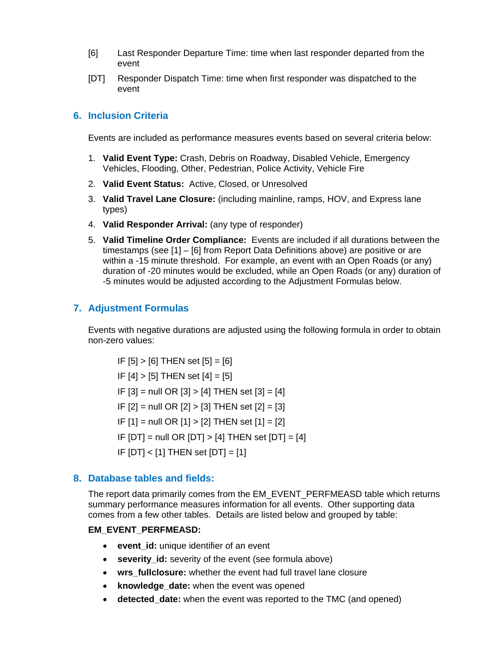- [6] Last Responder Departure Time: time when last responder departed from the event
- [DT] Responder Dispatch Time: time when first responder was dispatched to the event

## **6. Inclusion Criteria**

Events are included as performance measures events based on several criteria below:

- 1. **Valid Event Type:** Crash, Debris on Roadway, Disabled Vehicle, Emergency Vehicles, Flooding, Other, Pedestrian, Police Activity, Vehicle Fire
- 2. **Valid Event Status:** Active, Closed, or Unresolved
- 3. **Valid Travel Lane Closure:** (including mainline, ramps, HOV, and Express lane types)
- 4. **Valid Responder Arrival:** (any type of responder)
- 5. **Valid Timeline Order Compliance:** Events are included if all durations between the timestamps (see [1] – [6] from Report Data Definitions above) are positive or are within a -15 minute threshold. For example, an event with an Open Roads (or any) duration of -20 minutes would be excluded, while an Open Roads (or any) duration of -5 minutes would be adjusted according to the Adjustment Formulas below.

#### **7. Adjustment Formulas**

Events with negative durations are adjusted using the following formula in order to obtain non-zero values:

 $IF [5] > [6] THEN set [5] = [6]$ IF  $[4] > [5]$  THEN set  $[4] = [5]$ IF  $[3]$  = null OR  $[3]$  >  $[4]$  THEN set  $[3]$  =  $[4]$ IF  $[2]$  = null OR  $[2]$  >  $[3]$  THEN set  $[2]$  =  $[3]$ IF  $[1]$  = null OR  $[1]$  >  $[2]$  THEN set  $[1]$  =  $[2]$ IF  $[DT]$  = null OR  $[DT]$  >  $[4]$  THEN set  $[DT] = [4]$ IF  $[DT] < [1]$  THEN set  $[DT] = [1]$ 

#### **8. Database tables and fields:**

The report data primarily comes from the EM\_EVENT\_PERFMEASD table which returns summary performance measures information for all events. Other supporting data comes from a few other tables. Details are listed below and grouped by table:

#### **EM\_EVENT\_PERFMEASD:**

- **event id:** unique identifier of an event
- **severity id:** severity of the event (see formula above)
- wrs fullclosure: whether the event had full travel lane closure
- **knowledge\_date:** when the event was opened
- **detected\_date:** when the event was reported to the TMC (and opened)